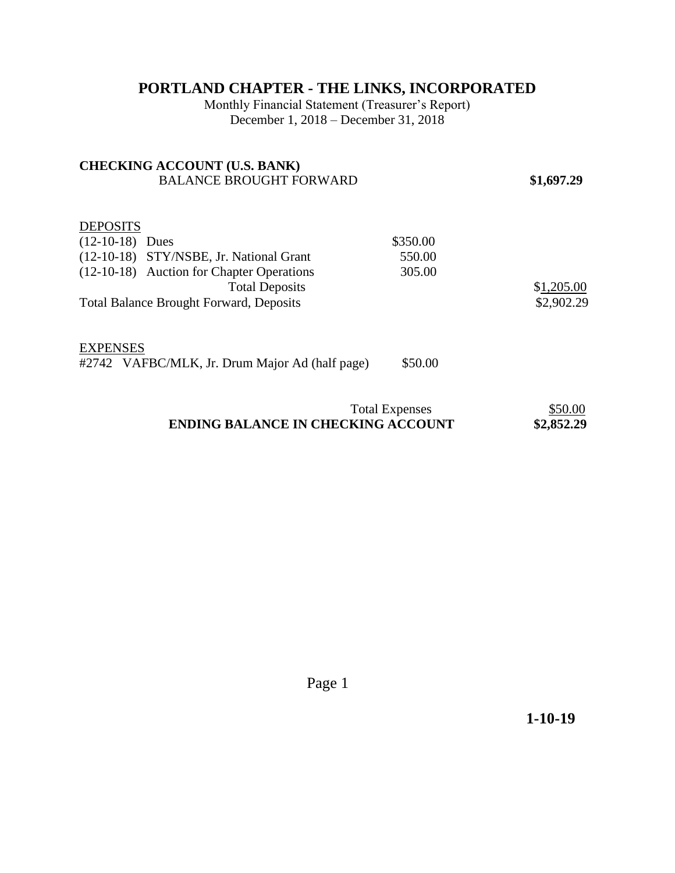## **PORTLAND CHAPTER - THE LINKS, INCORPORATED**

Monthly Financial Statement (Treasurer's Report) December 1, 2018 – December 31, 2018

| <b>CHECKING ACCOUNT (U.S. BANK)</b><br><b>BALANCE BROUGHT FORWARD</b>                                                                                                                                   |                              | \$1,697.29               |
|---------------------------------------------------------------------------------------------------------------------------------------------------------------------------------------------------------|------------------------------|--------------------------|
| <b>DEPOSITS</b><br>$(12-10-18)$ Dues<br>(12-10-18) STY/NSBE, Jr. National Grant<br>(12-10-18) Auction for Chapter Operations<br><b>Total Deposits</b><br><b>Total Balance Brought Forward, Deposits</b> | \$350.00<br>550.00<br>305.00 | \$1,205.00<br>\$2,902.29 |
| <b>EXPENSES</b><br>#2742 VAFBC/MLK, Jr. Drum Major Ad (half page)                                                                                                                                       | \$50.00                      |                          |
| <b>Total Expenses</b>                                                                                                                                                                                   |                              | \$50.00                  |

## **ENDING BALANCE IN CHECKING ACCOUNT \$2,852.29**

Page 1

 **1-10-19**